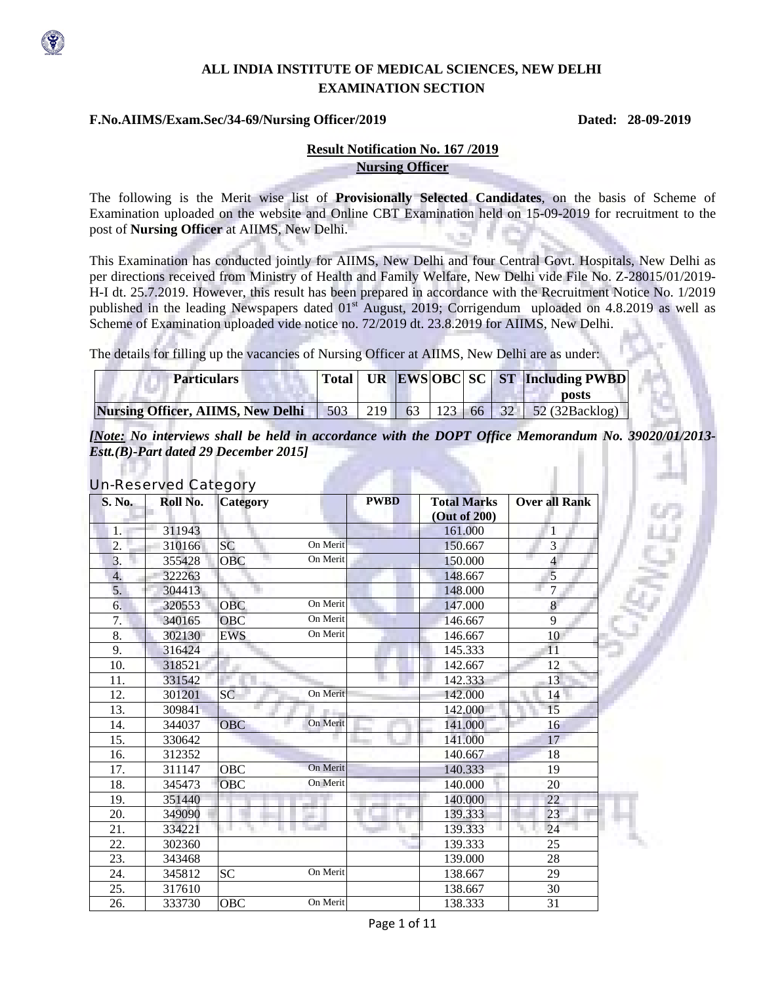

## **ALL INDIA INSTITUTE OF MEDICAL SCIENCES, NEW DELHI EXAMINATION SECTION**

#### **F.No.AIIMS/Exam.Sec/34-69/Nursing Officer/2019 Dated: 28-09-2019**

## **Result Notification No. 167 /2019 Nursing Officer**

The following is the Merit wise list of **Provisionally Selected Candidates**, on the basis of Scheme of Examination uploaded on the website and Online CBT Examination held on 15-09-2019 for recruitment to the post of **Nursing Officer** at AIIMS, New Delhi. o m

This Examination has conducted jointly for AIIMS, New Delhi and four Central Govt. Hospitals, New Delhi as per directions received from Ministry of Health and Family Welfare, New Delhi vide File No. Z-28015/01/2019- H-I dt. 25.7.2019. However, this result has been prepared in accordance with the Recruitment Notice No. 1/2019 published in the leading Newspapers dated 01<sup>st</sup> August, 2019; Corrigendum uploaded on 4.8.2019 as well as Scheme of Examination uploaded vide notice no. 72/2019 dt. 23.8.2019 for AIIMS, New Delhi.

The details for filling up the vacancies of Nursing Officer at AIIMS, New Delhi are as under:

| <b>Particulars</b>                                                           |  |  | Total UR EWSOBC SC ST Including PWBD |
|------------------------------------------------------------------------------|--|--|--------------------------------------|
|                                                                              |  |  | <b>posts</b>                         |
| <b>Nursing Officer, AIIMS, New Delhi</b> 503 219 63 123 66 32 52 (32Backlog) |  |  |                                      |

*[Note: No interviews shall be held in accordance with the DOPT Office Memorandum No. 39020/01/2013- Estt.(B)-Part dated 29 December 2015]* 

## Un-Reserved Category

| <b>S. No.</b> | Roll No. | ÷<br><b>Category</b>   | <b>PWBD</b> | <b>Total Marks</b><br>(Out of 200) | <b>Over all Rank</b>    |
|---------------|----------|------------------------|-------------|------------------------------------|-------------------------|
| 1.            | 311943   |                        |             | 161.000                            |                         |
| 2.            | 310166   | On Merit<br><b>SC</b>  |             | 150.667                            | 3                       |
| 3.            | 355428   | On Merit<br><b>OBC</b> |             | 150.000                            | $\overline{\mathbf{4}}$ |
| 4.            | 322263   |                        |             | 148.667                            | 5                       |
| 5.            | 304413   |                        |             | 148.000                            | $\overline{7}$          |
| 6.            | 320553   | On Merit<br><b>OBC</b> |             | 147.000                            | 8                       |
| 7.            | 340165   | On Merit<br>OBC        |             | 146.667                            | 9                       |
| 8.            | 302130   | On Merit<br><b>EWS</b> |             | 146.667                            | 10                      |
| 9.            | 316424   |                        |             | 145.333                            | 11                      |
| 10.           | 318521   |                        |             | 142.667                            | 12                      |
| 11.           | 331542   |                        |             | 142.333                            | 13                      |
| 12.           | 301201   | On Merit<br>SC         |             | 142.000                            | 14                      |
| 13.           | 309841   |                        |             | 142.000                            | 15                      |
| 14.           | 344037   | On Merit<br><b>OBC</b> |             | 141.000                            | 16                      |
| 15.           | 330642   |                        |             | 141.000                            | 17                      |
| 16.           | 312352   |                        |             | 140.667                            | 18                      |
| 17.           | 311147   | On Merit<br>OBC        |             | 140.333                            | 19                      |
| 18.           | 345473   | On Merit<br><b>OBC</b> |             | 140.000                            | 20                      |
| 19.           | 351440   |                        |             | 140.000                            | 22                      |
| 20.           | 349090   |                        |             | 139.333                            | 23                      |
| 21.           | 334221   |                        |             | 139.333                            | 24                      |
| 22.           | 302360   |                        |             | 139.333                            | 25                      |
| 23.           | 343468   |                        |             | 139.000                            | 28                      |
| 24.           | 345812   | On Merit<br><b>SC</b>  |             | 138.667                            | 29                      |
| 25.           | 317610   |                        |             | 138.667                            | 30                      |
| 26.           | 333730   | On Merit<br><b>OBC</b> |             | 138.333                            | 31                      |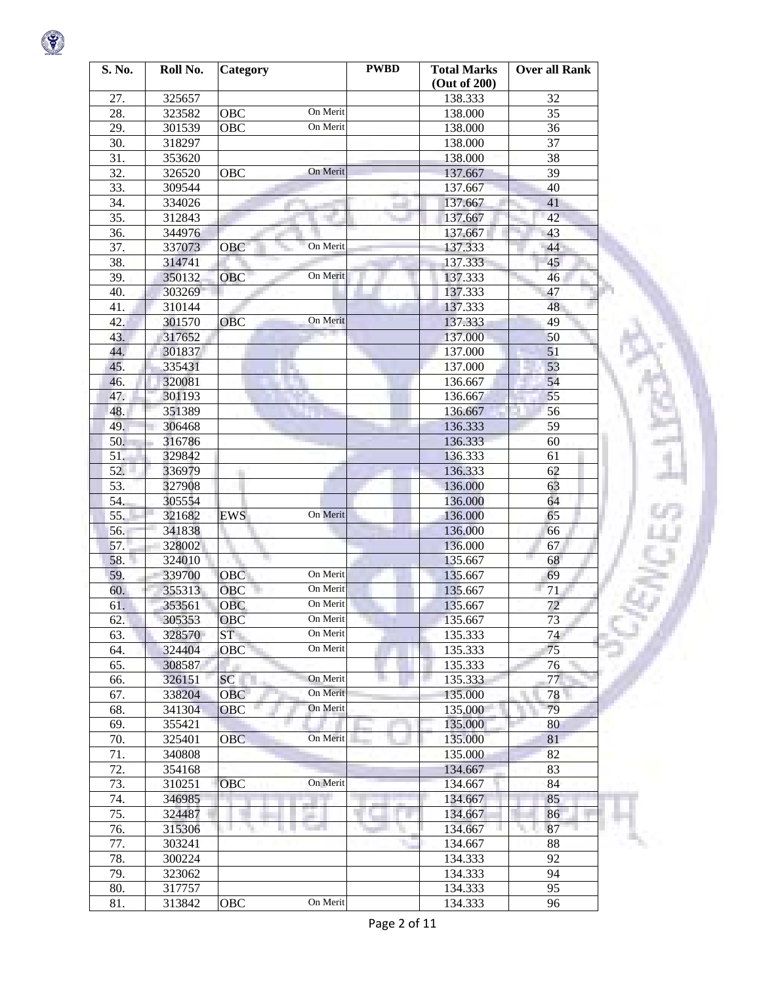| S. No. | Roll No. | Category               | <b>PWBD</b> | <b>Total Marks</b><br>(Out of 200) | <b>Over all Rank</b> |
|--------|----------|------------------------|-------------|------------------------------------|----------------------|
| 27.    | 325657   |                        |             | 138.333                            | 32                   |
| 28.    | 323582   | On Merit<br>OBC        |             | 138.000                            | 35                   |
| 29.    | 301539   | On Merit<br>OBC        |             | 138.000                            | 36                   |
| 30.    | 318297   |                        |             | 138.000                            | 37                   |
| 31.    | 353620   |                        |             | 138.000                            | 38                   |
| 32.    | 326520   | On Merit<br>OBC        |             | 137.667                            | 39                   |
| 33.    | 309544   |                        |             | 137.667                            | 40                   |
| 34.    | 334026   |                        |             | 137.667                            | 41                   |
| 35.    | 312843   |                        |             | 137.667                            | 42                   |
| 36.    | 344976   |                        |             | 137.667                            | 43                   |
| 37.    | 337073   | On Merit<br>OBC        |             | 137.333                            | 44                   |
| 38.    | 314741   |                        |             | 137.333                            | 45                   |
| 39.    | 350132   | On Merit<br>OBC        |             | 137.333                            | 46                   |
| 40.    | 303269   |                        |             | 137.333                            | 47                   |
| 41.    | 310144   |                        |             | 137.333                            | 48                   |
| 42.    | 301570   | On Merit<br><b>OBC</b> |             | 137.333                            | 49                   |
| 43.    | 317652   |                        |             | 137.000                            | 50                   |
| 44.    | 301837   |                        |             | 137.000                            | 51                   |
| 45.    | 335431   |                        |             | 137.000                            | 53                   |
| 46.    | 320081   |                        |             | 136.667                            | 54                   |
| 47.    | 301193   |                        |             | 136.667                            | 55                   |
| 48.    | 351389   |                        |             | 136.667                            | 56                   |
| 49.    | 306468   |                        |             | 136.333                            | 59                   |
| 50.    | 316786   |                        |             | 136.333                            | 60                   |
| 51.    | 329842   |                        |             | 136.333                            | 61                   |
| 52.    | 336979   |                        |             | 136.333                            | 62                   |
| 53.    | 327908   |                        |             | 136.000                            | 63                   |
| 54.    | 305554   |                        |             | 136.000                            | 64                   |
| 55.    | 321682   | On Merit<br>EWS        |             | 136.000                            | 65                   |
| 56.    | 341838   |                        |             | 136.000                            | 66                   |
| 57.    | 328002   |                        |             | 136.000                            | 67                   |
| 58.    | 324010   | m.                     |             | 135.667                            | ш<br>68              |
| 59.    | 339700   | On Merit<br><b>OBC</b> |             | 135.667                            | 69                   |
| 60.    | 355313   | On Merit<br>OBC        |             | 135.667                            | 71                   |
| 61.    | 353561   | On Merit<br><b>OBC</b> |             | 135.667                            | 72                   |
| 62.    | 305353   | OBC<br>On Merit        |             | 135.667                            | 73                   |
| 63.    | 328570   | On Merit<br>ST         |             | 135.333                            | 74                   |
| 64.    | 324404   | On Merit<br>OBC        |             | 135.333                            | 75                   |
| 65.    | 308587   |                        |             | 135.333                            | 76                   |
| 66.    | 326151   | On Merit<br>SC         | m           | 135.333                            | 77                   |
| 67.    | 338204   | On Merit<br>OBC        |             | 135.000                            | 78                   |
| 68.    | 341304   | On Merit<br><b>OBC</b> |             | 135.000                            | 79                   |
| 69.    | 355421   |                        |             | 135.000                            | 80                   |
| 70.    | 325401   | On Merit<br><b>OBC</b> |             | 135.000                            | 81                   |
| 71.    | 340808   |                        |             | 135.000                            | 82                   |
| 72.    | 354168   |                        |             | 134.667                            | 83                   |
| 73.    | 310251   | On Merit<br><b>OBC</b> |             | 134.667                            | 84                   |
| 74.    | 346985   |                        |             | 134.667                            | 85                   |
| 75.    | 324487   |                        |             | 134.667                            | 86                   |
| 76.    | 315306   | - 70<br>a sa m<br>×,   |             | 134.667                            | 87<br>۰              |
| 77.    | 303241   |                        |             | 134.667                            | 88                   |
| 78.    | 300224   |                        |             | 134.333                            | 92                   |
| 79.    | 323062   |                        |             | 134.333                            | 94                   |
| 80.    | 317757   |                        |             | 134.333                            | 95                   |
| 81.    | 313842   | On Merit<br>OBC        |             | 134.333                            | 96                   |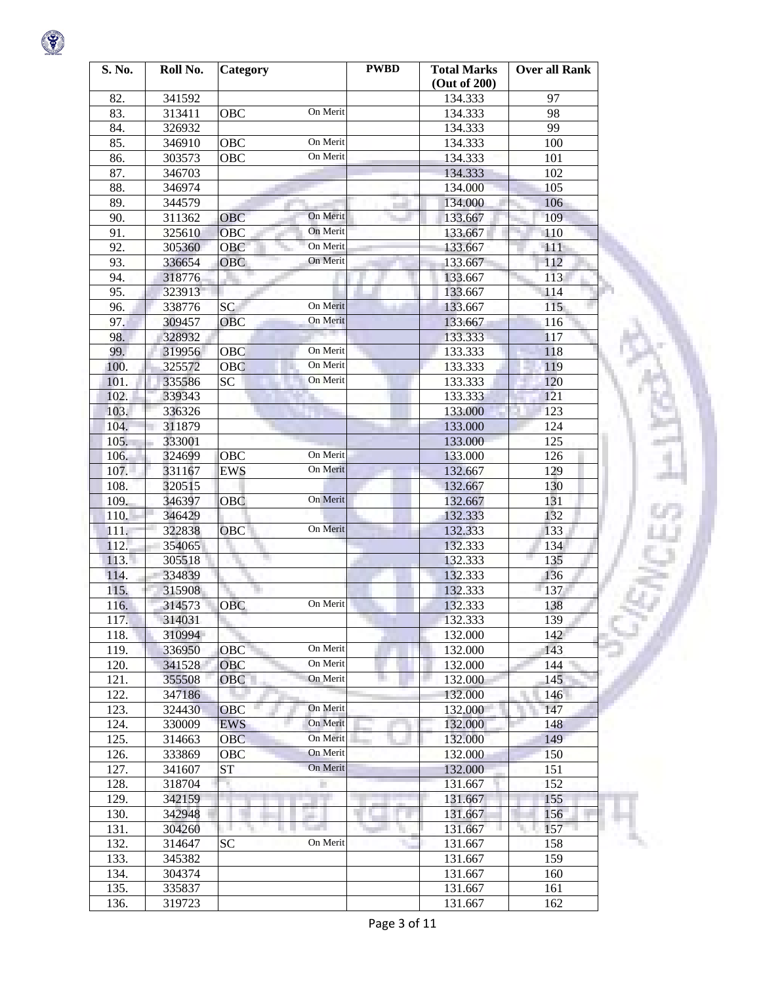| S. No. | Roll No. | <b>Category</b>        | <b>PWBD</b> | <b>Total Marks</b><br>(Out of 200) | <b>Over all Rank</b> |
|--------|----------|------------------------|-------------|------------------------------------|----------------------|
| 82.    | 341592   |                        |             | 134.333                            | 97                   |
| 83.    | 313411   | On Merit<br>OBC        |             | 134.333                            | 98                   |
| 84.    | 326932   |                        |             | 134.333                            | 99                   |
| 85.    | 346910   | On Merit<br>OBC        |             | 134.333                            | 100                  |
| 86.    | 303573   | On Merit<br>OBC        |             | 134.333                            | 101                  |
| 87.    | 346703   |                        |             | 134.333                            | 102                  |
| 88.    | 346974   |                        |             | 134.000                            | 105                  |
| 89.    | 344579   |                        |             | 134.000                            | 106                  |
| 90.    | 311362   | On Merit<br><b>OBC</b> |             | 133.667                            | 109                  |
| 91.    | 325610   | On Merit<br><b>OBC</b> |             | 133.667                            | 110                  |
| 92.    | 305360   | On Merit<br>OBC        |             | 133.667                            | 111                  |
| 93.    | 336654   | On Merit<br>OBC        |             | 133.667                            | 112                  |
| 94.    | 318776   |                        |             | 133.667                            | 113                  |
| 95.    | 323913   |                        |             | 133.667                            | 114                  |
| 96.    | 338776   | On Merit<br>SC         |             | 133.667                            | 115                  |
| 97.    | 309457   | On Merit<br><b>OBC</b> |             | 133.667                            | 116                  |
| 98.    | 328932   |                        |             | 133.333                            | 117                  |
| 99.    | 319956   | On Merit<br>OBC        |             | 133.333                            | 118                  |
| 100.   | 325572   | On Merit<br>OBC        |             | 133.333                            | 119                  |
| 101.   | 335586   | On Merit<br>SC         |             | 133.333                            | 120                  |
| 102.   | 339343   |                        |             | 133.333                            | 121                  |
| 103.   | 336326   |                        |             | 133.000                            | 123                  |
| 104.   | 311879   |                        |             | 133.000                            | 124                  |
| 105.   | 333001   |                        |             | 133.000                            | 125                  |
| 106.   | 324699   | On Merit<br>OBC        |             |                                    | 126                  |
| 107.   |          | On Merit               |             | 133.000                            | 129                  |
|        | 331167   | <b>EWS</b>             |             | 132.667                            |                      |
| 108.   | 320515   | On Merit               |             | 132.667                            | 130<br>131           |
| 109.   | 346397   | OBC                    |             | 132.667                            |                      |
| 110.   | 346429   | On Merit<br>OBC        |             | 132.333                            | 132                  |
| 111.   | 322838   |                        |             | 132.333                            | 133                  |
| 112.   | 354065   |                        |             | 132.333                            | 134                  |
| 113.1  | 305518   |                        |             | 132.333                            | 135                  |
| 114.   | 334839   |                        |             | 132.333                            | 136                  |
| 115.   | 315908   | On Merit               |             | 132.333                            | 137                  |
| 116.   | 314573   | <b>OBC</b>             |             | 132.333                            | 138                  |
| 117.   | 314031   |                        |             | 132.333                            | 139                  |
| 118.   | 310994   |                        |             | 132.000                            | 142                  |
| 119.   | 336950   | On Merit<br>OBC        |             | 132.000                            | 143                  |
| 120.   | 341528   | On Merit<br><b>OBC</b> |             | 132.000                            | 144                  |
| 121.   | 355508   | On Merit<br><b>OBC</b> |             | 132.000                            | 145                  |
| 122.   | 347186   |                        |             | 132.000                            | 146                  |
| 123.   | 324430   | On Merit<br>OBC        |             | 132.000                            | 147                  |
| 124.   | 330009   | On Merit<br><b>EWS</b> |             | 132.000                            | 148                  |
| 125.   | 314663   | On Merit<br><b>OBC</b> |             | 132.000                            | 149                  |
| 126.   | 333869   | On Merit<br>OBC        |             | 132.000                            | 150                  |
| 127.   | 341607   | On Merit<br>ST         |             | 132.000                            | 151                  |
| 128.   | 318704   | П                      |             | 131.667                            | 152                  |
| 129.   | 342159   |                        |             | 131.667                            | 155                  |
| 130.   | 342948   | <b>STATISTICS</b>      |             | 131.667                            | 156                  |
| 131.   | 304260   |                        |             | 131.667                            | 157<br>T.            |
| 132.   | 314647   | On Merit<br>SC         |             | 131.667                            | 158                  |
| 133.   | 345382   |                        |             | 131.667                            | 159                  |
| 134.   | 304374   |                        |             | 131.667                            | 160                  |
| 135.   | 335837   |                        |             | 131.667                            | 161                  |
| 136.   | 319723   |                        |             | 131.667                            | 162                  |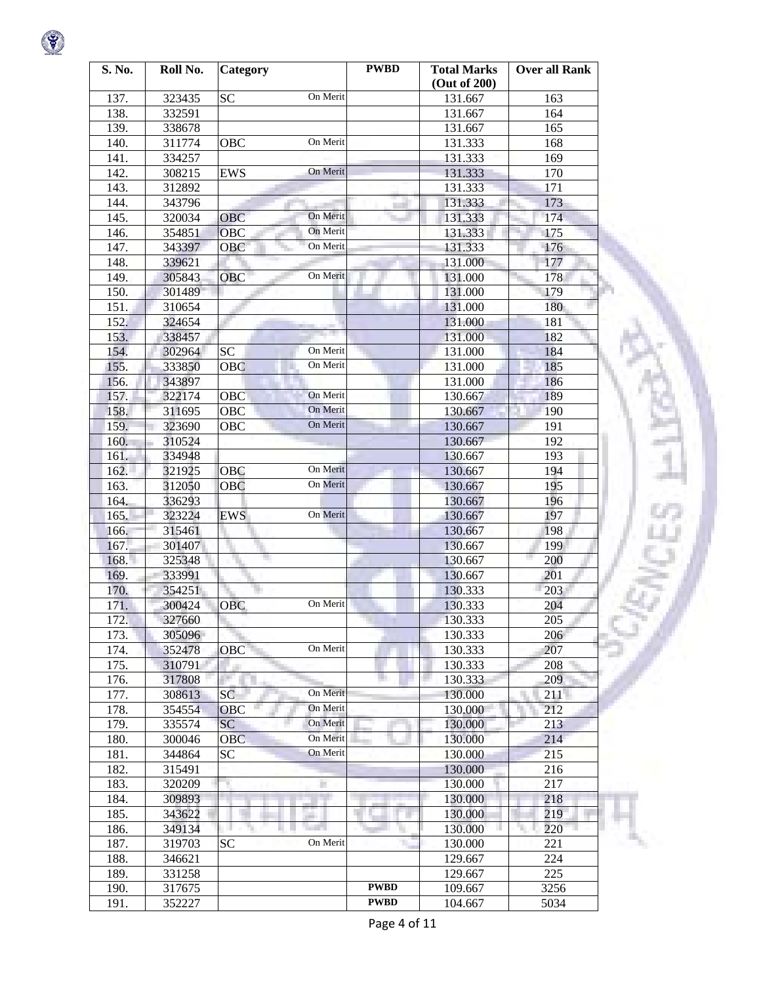| S. No. | Roll No. | Category                   | <b>PWBD</b> | <b>Total Marks</b><br>(Out of 200) | <b>Over all Rank</b> |
|--------|----------|----------------------------|-------------|------------------------------------|----------------------|
| 137.   | 323435   | On Merit<br><b>SC</b>      |             | 131.667                            | 163                  |
| 138.   | 332591   |                            |             | 131.667                            | 164                  |
| 139.   | 338678   |                            |             | 131.667                            | 165                  |
| 140.   | 311774   | On Merit<br>OBC            |             | 131.333                            | 168                  |
| 141.   | 334257   |                            |             | 131.333                            | 169                  |
| 142.   | 308215   | On Merit<br><b>EWS</b>     |             | 131.333                            | 170                  |
| 143.   | 312892   |                            |             | 131.333                            | 171                  |
| 144.   | 343796   |                            |             | 131.333                            | 173                  |
| 145.   | 320034   | On Merit<br><b>OBC</b>     |             | 131.333                            | 174                  |
| 146.   | 354851   | OBC<br>On Merit            |             | 131.333                            | 175                  |
| 147.   | 343397   | On Merit<br>OBC            |             | 131.333                            | 176                  |
| 148.   | 339621   |                            |             | 131.000                            | 177                  |
| 149.   | 305843   | On Merit<br>OBC            |             | 131.000                            | 178                  |
| 150.   | 301489   |                            |             | 131.000                            | 179                  |
| 151.   | 310654   |                            |             | 131.000                            | 180                  |
| 152.   | 324654   |                            |             | 131.000                            | 181                  |
| 153.   | 338457   |                            |             | 131.000                            | 182                  |
| 154.   | 302964   | On Merit<br><b>SC</b>      |             | 131.000                            | 184                  |
| 155.   | 333850   | On Merit<br>OBC            |             | 131.000                            | 185                  |
| 156.   | 343897   |                            |             | 131.000                            | 186                  |
| 157.   | 322174   | On Merit<br>OBC            |             | 130.667                            | 189                  |
| 158.   | 311695   | On Merit<br>OBC            |             | 130.667                            | 190                  |
| 159.   | 323690   | On Merit<br>OBC            |             | 130.667                            | 191                  |
| 160.   | 310524   |                            |             | 130.667                            | 192                  |
| 161.   | 334948   |                            |             | 130.667                            | 193                  |
| 162.   | 321925   | On Merit<br><b>OBC</b>     |             | 130.667                            | 194                  |
| 163.   | 312050   | On Merit<br><b>OBC</b>     |             | 130.667                            | 195                  |
| 164.   | 336293   |                            |             | 130.667                            | 196                  |
| 165.   | 323224   | On Merit<br><b>EWS</b>     |             | 130.667                            | 197                  |
| 166.   | 315461   |                            |             | 130.667                            | 198                  |
| 167.   | 301407   |                            |             | 130.667                            | 199                  |
| 168.   | 325348   |                            |             | 130.667                            | 200                  |
| 169.   | 333991   |                            |             | 130.667                            | 201                  |
| 170.   | 354251   |                            |             | 130.333                            | 203                  |
| 171.   | 300424   | On Merit<br><b>OBC</b>     |             | 130.333                            | 204                  |
| 172.   | 327660   |                            |             | 130.333                            | $\overline{205}$     |
| 173.   | 305096   |                            |             | 130.333                            | 206                  |
| 174.   | 352478   | On Merit<br>OBC            |             | 130.333                            | 207                  |
| 175.   | 310791   |                            |             | 130.333                            | 208                  |
| 176.   | 317808   | in i                       |             | 130.333                            | 209                  |
| 177.   | 308613   | On Merit<br>SC             |             | 130.000                            | 211                  |
| 178.   | 354554   | On Merit<br><b>OBC</b>     |             | 130.000                            | 212                  |
| 179.   | 335574   | On Merit<br>SC             |             | 130.000                            | 213                  |
| 180.   | 300046   | On Merit<br><b>OBC</b>     |             | 130.000                            | 214                  |
| 181.   | 344864   | On Merit<br><b>SC</b>      |             | 130.000                            | 215                  |
| 182.   | 315491   |                            |             | 130.000                            | 216                  |
| 183.   | 320209   |                            |             | 130.000                            | 217                  |
| 184.   | 309893   |                            |             | 130.000                            | 218                  |
| 185.   | 343622   |                            |             | 130.000                            | 219                  |
| 186.   | 349134   | - 70<br><b>Tarafa</b><br>н |             | 130.000                            | ٦<br>220             |
| 187.   | 319703   | On Merit<br>SC             |             | 130.000                            | 221                  |
| 188.   | 346621   |                            |             | 129.667                            | 224                  |
| 189.   | 331258   |                            |             | 129.667                            | 225                  |
| 190.   | 317675   |                            | <b>PWBD</b> | 109.667                            | 3256                 |
| 191.   | 352227   |                            | <b>PWBD</b> | 104.667                            | 5034                 |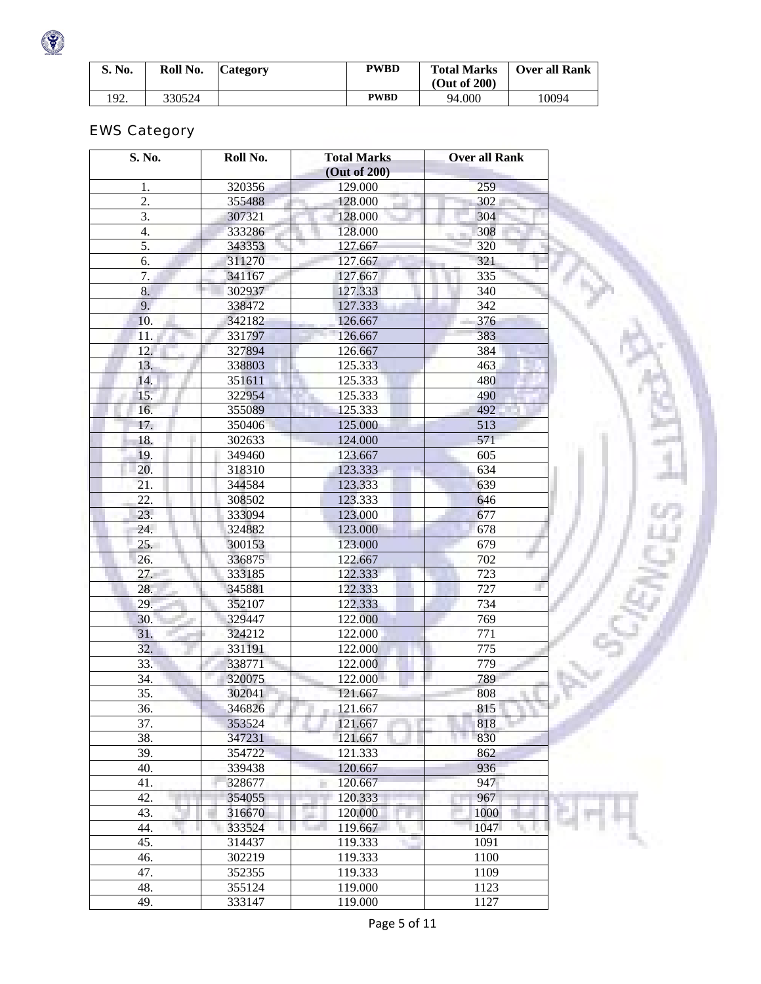| S. No. | Roll No. | <b>Category</b> | <b>PWBD</b> | <b>Total Marks</b><br>(Out of 200) | <b>Over all Rank</b> |
|--------|----------|-----------------|-------------|------------------------------------|----------------------|
| 192.   | 330524   |                 | <b>PWBD</b> | 94.000                             | .0094                |

# EWS Category

 $\bullet$ 

| S. No.       | Roll No. | <b>Total Marks</b> | <b>Over all Rank</b> |
|--------------|----------|--------------------|----------------------|
|              |          | (Out of 200)       |                      |
| 1.           | 320356   | 129.000            | 259                  |
| 2.           | 355488   | 128.000            | 302                  |
| 3.           | 307321   | 128.000            | 304                  |
| 4.           | 333286   | 128.000            | 308                  |
| 5.           | 343353   | 127.667            | 320                  |
| 6.           | 311270   | 127.667            | 321                  |
| 7.           | 341167   | 127.667            | 335                  |
| 8.           | 302937   | 127.333            | 340                  |
| 9.           | 338472   | 127.333            | 342                  |
| 10.          | 342182   | 126.667            | 376                  |
| 11.          | 331797   | 126.667            | 383                  |
| 12.          | 327894   | 126.667            | 384                  |
| 13.          | 338803   | 125.333            | 463                  |
| 14.          | 351611   | 125.333            | 480                  |
| 15.          | 322954   | 125.333            | 490                  |
| 16.          | 355089   | 125.333            | 492                  |
| 17.          | 350406   | 125.000            | 513                  |
| 18.          | 302633   | 124.000            | 571                  |
| 19.          | 349460   | 123.667            | 605                  |
| 20.          | 318310   | 123.333            | 634                  |
| 21.          | 344584   | 123.333            | 639                  |
| 22.          | 308502   | 123.333            | 646                  |
| 23.          | 333094   | 123.000            | 677                  |
|              |          |                    |                      |
| 24.          | 324882   | 123.000            | 678                  |
| 25.          | 300153   | 123.000            | 679                  |
| 26.          | 336875   | 122.667            | 702                  |
| 27.          | 333185   | 122.333            | 723                  |
| 28.          | 345881   | 122.333            | 727                  |
| 29.          | 352107   | 122.333            | 734                  |
| 30.          | 329447   | 122.000            | 769                  |
| 31.          | 324212   | 122.000            | 771                  |
| 32.          | 331191   | 122.000            | 775                  |
| 33.          | 338771   | 122.000            | 779                  |
| 34.          | 320075   | 122.000            | 789                  |
| 35.          | 302041   | 121.667            | 808                  |
| 36.          | 346826   | $-121.667$         | 815                  |
| 37.          | 353524   | 121.667            | 818                  |
| 38.          | 347231   | 121.667            | 830                  |
| 39.          | 354722   | 121.333            | 862                  |
| 40.          | 339438   | 120.667            | 936                  |
| 41.          | 328677   | 120.667            | 947                  |
| 42.<br>n e s | 354055   | 120.333            | 967                  |
| ٦<br>43.     | 316670   | 120.000            | 1000                 |
| 44.          | 333524   | 119.667            | 1047<br>u,           |
| 45.          | 314437   | 119.333<br>۰.      | 1091                 |
| 46.          | 302219   | 119.333            | 1100                 |
| 47.          | 352355   | 119.333            | 1109                 |
| 48.          | 355124   | 119.000            | 1123                 |
| 49.          | 333147   | 119.000            | 1127                 |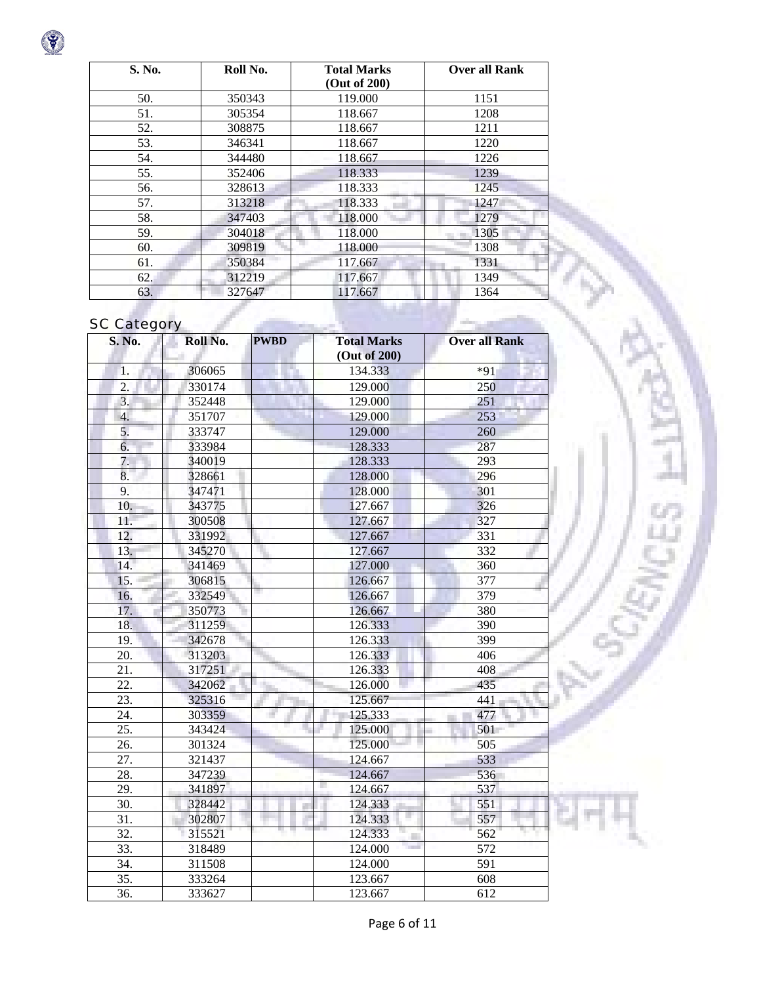

| S. No. | Roll No. | <b>Total Marks</b> | <b>Over all Rank</b> |
|--------|----------|--------------------|----------------------|
|        |          | (Out of 200)       |                      |
| 50.    | 350343   | 119.000            | 1151                 |
| 51.    | 305354   | 118.667            | 1208                 |
| 52.    | 308875   | 118.667            | 1211                 |
| 53.    | 346341   | 118.667            | 1220                 |
| 54.    | 344480   | 118.667            | 1226                 |
| 55.    | 352406   | 118.333            | 1239                 |
| 56.    | 328613   | 118.333            | 1245                 |
| 57.    | 313218   | 118.333            | 1247                 |
| 58.    | 347403   | 118.000            | 1279                 |
| 59.    | 304018   | 118.000            | 1305                 |
| 60.    | 309819   | 118.000            | 1308                 |
| 61.    | 350384   | 117.667            | 1331                 |
| 62.    | 312219   | 117.667            | 1349                 |
| 63.    | 327647   | 117.667            | 1364                 |

## **SC Category**

| <b>S. No.</b>     | Roll No. | <b>PWBD</b> | <b>Total Marks</b><br>(Out of 200) | <b>Over all Rank</b> |
|-------------------|----------|-------------|------------------------------------|----------------------|
| 1.                | 306065   |             | 134.333                            | $*91$                |
| $\overline{2}$ .  | 330174   |             | 129.000                            | 250                  |
| 3.                | 352448   |             | 129.000                            | 251                  |
| 4.                | 351707   |             | 129.000                            | 253                  |
| 5.                | 333747   |             | 129.000                            | 260                  |
| 6.                | 333984   |             | 128.333                            | 287                  |
| 7.                | 340019   |             | 128.333                            | 293                  |
| 8.                | 328661   |             | 128.000                            | 296                  |
| 9.                | 347471   |             | 128.000                            | 301                  |
| 10.               | 343775   |             | 127.667                            | 326                  |
| 11.               | 300508   |             | 127.667                            | 327                  |
| 12.               | 331992   |             | 127.667                            | 331                  |
| 13.               | 345270   |             | 127.667                            | 332                  |
| 14.               | 341469   |             | 127.000                            | 360                  |
| 15.               | 306815   |             | 126.667                            | 377                  |
| 16.               | 332549   |             | 126.667                            | 379                  |
| 17.               | 350773   |             | 126.667                            | 380                  |
| 18.               | 311259   |             | 126.333                            | 390                  |
| 19.               | 342678   |             | 126.333                            | 399                  |
| 20.               | 313203   |             | 126.333                            | 406                  |
| 21.               | 317251   |             | 126.333                            | 408                  |
| 22.               | 342062   |             | 126.000                            | 435                  |
| 23.               | 325316   |             | 125.667                            | 441                  |
| 24.               | 303359   | ×,          | 125.333                            | 477                  |
| 25.               | 343424   |             | 125.000                            | 501                  |
| 26.               | 301324   |             | 125.000                            | 505                  |
| 27.               | 321437   |             | 124.667                            | 533                  |
| 28.               | 347239   |             | 124.667                            | 536                  |
| 29.               | 341897   |             | 124.667                            | 537                  |
| 30.               | 328442   |             | 124.333                            | 551                  |
| 31.               | 302807   |             | u<br>124.333                       | 557                  |
| $\overline{32}$ . | 315521   |             | 124.333                            | 562                  |
| 33.               | 318489   |             | 124.000                            | 572                  |
| 34.               | 311508   |             | 124.000                            | 591                  |
| 35.               | 333264   |             | 123.667                            | 608                  |
| 36.               | 333627   |             | 123.667                            | 612                  |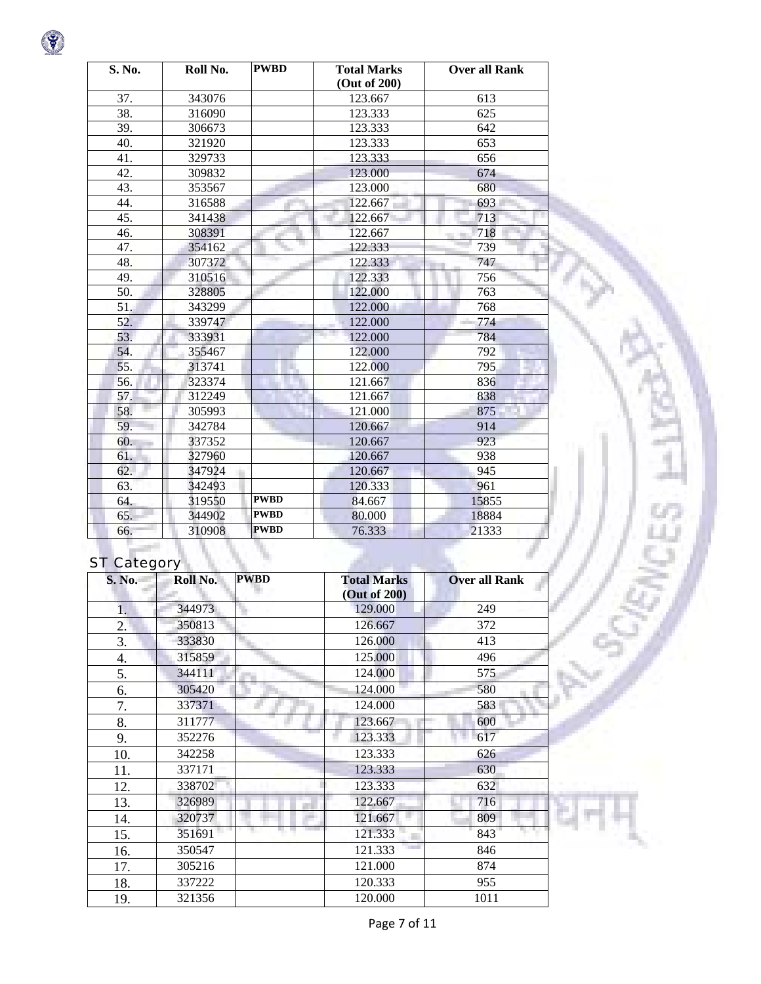| S. No. | Roll No. | <b>PWBD</b> | <b>Total Marks</b><br>(Out of 200) | <b>Over all Rank</b> |
|--------|----------|-------------|------------------------------------|----------------------|
| 37.    | 343076   |             | 123.667                            | 613                  |
| 38.    | 316090   |             | 123.333                            | 625                  |
| 39.    | 306673   |             | 123.333                            | 642                  |
| 40.    | 321920   |             | 123.333                            | 653                  |
| 41.    | 329733   |             | 123.333                            | 656                  |
| 42.    | 309832   |             | 123.000                            | 674                  |
| 43.    | 353567   |             | 123.000                            | 680                  |
| 44.    | 316588   |             | 122.667                            | 693                  |
| 45.    | 341438   |             | 122.667                            | 713                  |
| 46.    | 308391   |             | 122.667                            | 718                  |
| 47.    | 354162   |             | 122.333                            | 739                  |
| 48.    | 307372   |             | 122.333                            | 747                  |
| 49.    | 310516   |             | 122.333                            | 756                  |
| 50.    | 328805   |             | 122.000                            | 763                  |
| 51.    | 343299   |             | 122.000                            | 768                  |
| 52.    | 339747   |             | 122.000                            | 774                  |
| 53.    | 333931   |             | 122.000                            | 784                  |
| 54.    | 355467   |             | 122.000                            | 792                  |
| 55.    | 313741   |             | 122.000                            | 795                  |
| 56.    | 323374   |             | 121.667                            | 836                  |
| 57.    | 312249   |             | 121.667                            | 838                  |
| 58.    | 305993   |             | 121.000                            | 875                  |
| 59.    | 342784   |             | 120.667                            | 914                  |
| 60.    | 337352   |             | 120.667                            | 923                  |
| 61.    | 327960   |             | 120.667                            | 938                  |
| 62.    | 347924   | ٠           | 120.667                            | 945                  |
| 63.    | 342493   |             | 120.333                            | 961                  |
| 64.    | 319550   | <b>PWBD</b> | 84.667                             | 15855                |
| 65.    | 344902   | <b>PWBD</b> | 80.000                             | 18884                |
| 66.    | 310908   | <b>PWBD</b> | 76.333                             | 21333                |

# ST Category

| <b>S. No.</b> | $\mathbf{z}$<br>-<br>Roll No. | <b>PWBD</b> | <b>Total Marks</b><br>(Out of 200) | <b>Over all Rank</b> |
|---------------|-------------------------------|-------------|------------------------------------|----------------------|
| 1.            | 344973                        |             | 129.000                            | 249                  |
| 2.            | 350813                        |             | 126.667                            | 372                  |
| 3.            | 333830                        |             | 126.000                            | 413                  |
| 4.            | 315859                        |             | 125.000                            | 496                  |
| 5.            | 344111                        |             | 124.000                            | 575                  |
| 6.            | 305420                        |             | 124.000                            | 580                  |
| 7.            | 337371                        |             | 124.000                            | 583                  |
| 8.            | 311777                        |             | 123.667                            | 600                  |
| 9.            | 352276                        |             | 123.333                            | 617                  |
| 10.           | 342258                        |             | 123.333                            | 626                  |
| 11.           | 337171                        |             | 123.333                            | 630                  |
| 12.           | 338702                        |             | 123.333                            | 632                  |
| 13.           | 326989                        |             | 122.667                            | 716                  |
| 14.           | 320737                        |             | 121.667                            | 809                  |
| 15.           | 351691                        |             | 121.333                            | 843                  |
| 16.           | 350547                        |             | 121.333                            | 846                  |
| 17.           | 305216                        |             | 121.000                            | 874                  |
| 18.           | 337222                        |             | 120.333                            | 955                  |
| 19.           | 321356                        |             | 120.000                            | 1011                 |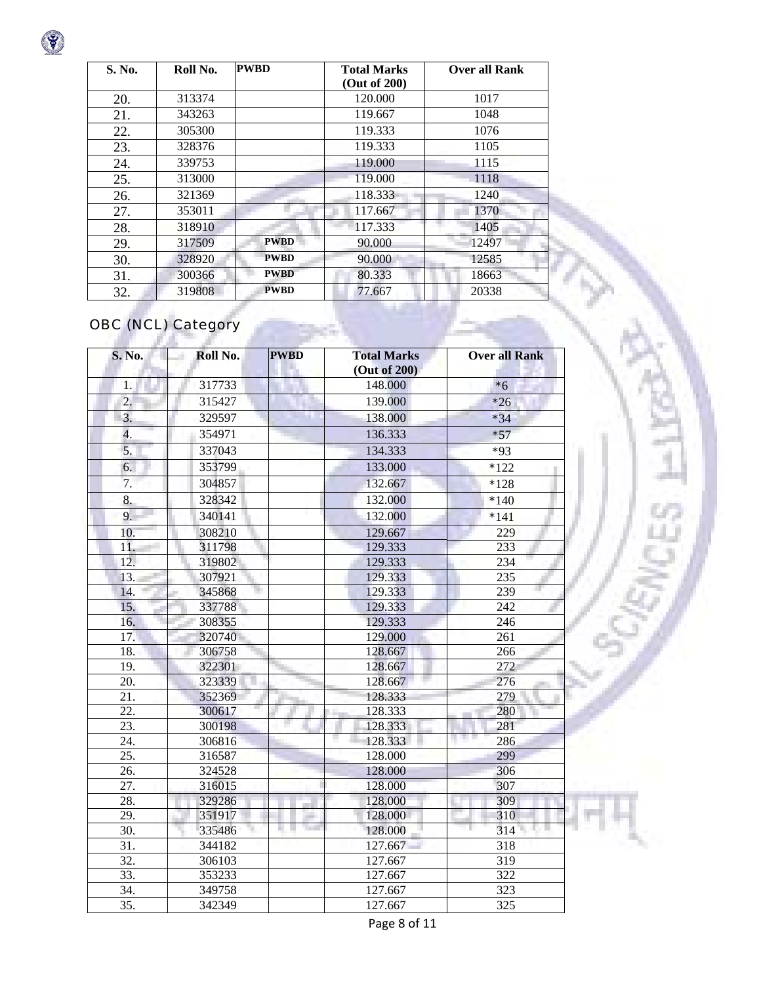| S. No. | Roll No. | <b>PWBD</b> | <b>Total Marks</b> | <b>Over all Rank</b> |
|--------|----------|-------------|--------------------|----------------------|
|        |          |             | (Out of 200)       |                      |
| 20.    | 313374   |             | 120.000            | 1017                 |
| 21.    | 343263   |             | 119.667            | 1048                 |
| 22.    | 305300   |             | 119.333            | 1076                 |
| 23.    | 328376   |             | 119.333            | 1105                 |
| 24.    | 339753   |             | 119.000            | 1115                 |
| 25.    | 313000   |             | 119.000            | 1118                 |
| 26.    | 321369   |             | 118.333            | 1240                 |
| 27.    | 353011   |             | 117.667            | 1370                 |
| 28.    | 318910   |             | 117.333            | 1405                 |
| 29.    | 317509   | <b>PWBD</b> | 90.000             | 12497                |
| 30.    | 328920   | <b>PWBD</b> | 90.000             | 12585                |
| 31.    | 300366   | <b>PWBD</b> | 80.333             | 18663                |
| 32.    | 319808   | <b>PWBD</b> | 77.667             | 20338                |

# OBC (NCL) Category

| S. No.                                 | Roll No.         | <b>PWBD</b>             | <b>Total Marks</b><br>(Out of 200) | <b>Over all Rank</b> |
|----------------------------------------|------------------|-------------------------|------------------------------------|----------------------|
| 1.                                     | 317733           |                         | 148.000                            | $*6$                 |
| 2.                                     | 315427           |                         | 139.000                            | $*26$                |
| 3.                                     | 329597           | <b>TELEVISION</b>       | 138.000                            | $*34$                |
| 4.                                     | 354971           |                         | 136.333                            | $*57$                |
| 5.                                     | 337043           |                         | 134.333                            | $*93$                |
| 6.                                     | 353799           |                         | 133.000                            | $*122$               |
| 7.                                     | 304857           |                         | 132.667                            | $*128$               |
| 8.                                     | 328342           |                         | 132.000                            | $*140$               |
| 9.                                     | 340141           |                         | 132.000                            | $*141$               |
| 10.                                    | 308210           |                         | 129.667                            | 229                  |
| 11.                                    | 311798           |                         | 129.333                            | 233                  |
| 12.                                    | 319802           |                         | 129.333                            | 234                  |
| 13.                                    | 307921           |                         | 129.333                            | 235                  |
| 14.                                    | 345868           |                         | 129.333                            | $\overline{239}$     |
| 15.                                    | 337788           |                         | 129.333                            | 242                  |
| 16.                                    | 308355           |                         | 129.333                            | 246                  |
| 17.                                    | 320740           |                         | 129.000                            | 261                  |
| 18.                                    | 306758           |                         | 128.667                            | 266                  |
| 19.                                    | 322301           |                         | 128.667                            | 272                  |
| 20.                                    | 323339           |                         | 128.667                            | 276                  |
| 21.                                    | 352369           |                         | 128.333                            | 279                  |
| 22.                                    | 300617           |                         | 128.333                            | 280                  |
| 23.                                    | 300198           |                         | 128.333                            | 281                  |
| 24.                                    | 306816           |                         | 128.333                            | 286                  |
| 25.                                    | 316587           |                         | 128.000                            | 299                  |
| 26.                                    | 324528           |                         | 128.000                            | 306                  |
| 27.                                    | 316015           |                         | 128.000                            | 307                  |
| 28.                                    | 329286           |                         | 128.000                            | 309                  |
| 29.                                    | 351917           | m<br>ш<br><b>The Co</b> | 128.000                            | 310<br>٠<br>Щ<br>ш   |
| 30.                                    | 335486<br>٦.     |                         | 128.000                            | 314                  |
| $\overline{31}$ .<br>$\overline{32}$ . | 344182           |                         | 127.667                            | 318<br>319           |
| $\overline{33}$ .                      | 306103           |                         | 127.667                            | $\overline{322}$     |
| 34.                                    | 353233<br>349758 |                         | 127.667<br>127.667                 | $\overline{323}$     |
| 35.                                    | 342349           |                         | 127.667                            | 325                  |
|                                        |                  |                         |                                    |                      |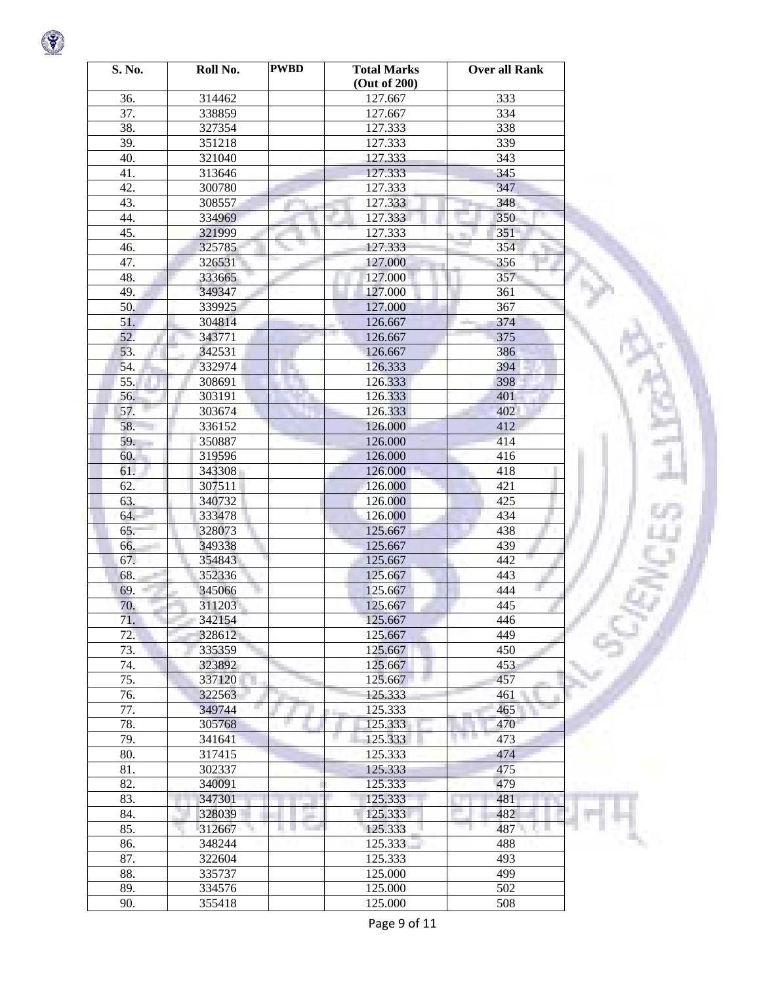| S. No. | Roll No. | <b>PWBD</b> | <b>Total Marks</b><br>(Out of 200) | <b>Over all Rank</b> |
|--------|----------|-------------|------------------------------------|----------------------|
| 36.    | 314462   |             | 127.667                            | 333                  |
| 37.    | 338859   |             | 127.667                            | 334                  |
| 38.    | 327354   |             | 127.333                            | 338                  |
| 39.    | 351218   |             | 127.333                            | 339                  |
| 40.    | 321040   |             | 127.333                            | 343                  |
| 41.    | 313646   |             | 127.333                            | 345                  |
| 42.    | 300780   |             | 127.333                            | 347                  |
| 43.    | 308557   |             | 127.333                            | 348                  |
| 44.    | 334969   |             | 127.333                            | 350                  |
| 45.    | 321999   |             | 127.333                            | 351                  |
| 46.    | 325785   |             |                                    | 354                  |
| 47.    |          |             | 127.333                            |                      |
|        | 326531   |             | 127.000                            | 356                  |
| 48.    | 333665   |             | 127.000                            | 357                  |
| 49.    | 349347   |             | 127.000                            | 361                  |
| 50.    | 339925   |             | 127.000                            | 367                  |
| 51.    | 304814   |             | 126.667                            | 374                  |
| 52.    | 343771   |             | 126.667                            | 375                  |
| 53.    | 342531   |             | 126.667                            | 386                  |
| 54.    | 332974   |             | 126.333                            | 394                  |
| 55.    | 308691   |             | 126.333                            | 398                  |
| 56.    | 303191   |             | 126.333                            | 401                  |
| 57.    | 303674   |             | 126.333                            | 402                  |
| 58.    | 336152   |             | 126.000                            | 412                  |
| 59.    | 350887   |             | 126.000                            | 414                  |
| 60.    | 319596   |             | 126.000                            | 416                  |
| 61.    | 343308   |             | 126.000                            | 418                  |
| 62.    | 307511   |             | 126.000                            | 421                  |
| 63.    | 340732   |             | 126.000                            | 425                  |
| 64.    | 333478   |             | 126.000                            | 434                  |
| 65.    | 328073   |             | 125.667                            | 438                  |
| 66.    | 349338   |             | 125.667                            | 439                  |
| 67.    | 354843   |             | 125.667                            | 442                  |
| 68.    | 352336   |             | 125.667                            | 443                  |
| 69.    | 345066   |             | 125.667                            | 444                  |
| 70.    | 311203   |             | 125.667                            | 445                  |
| 71.    | 342154   |             | 125.667                            | 446                  |
| 72.    | 328612   |             | 125.667                            | 449                  |
| 73.    | 335359   |             | 125.667                            | 450                  |
| 74.    | 323892   |             | 125.667                            | 453                  |
| 75.    | 337120   |             | 125.667                            | 457                  |
| 76.    | 322563   |             | 125.333                            | 461                  |
| 77.    | 349744   |             | 125.333                            | 465                  |
| 78.    | 305768   | a,          | 125.333                            | 470                  |
| 79.    | 341641   |             | 125.333                            | n e<br>473           |
| 80.    | 317415   |             | 125.333                            | 474                  |
| 81.    | 302337   |             | 125.333                            | 475                  |
| 82.    | 340091   |             | 125.333                            | 479                  |
| 83.    | 347301   |             | 125.333                            | 481                  |
| 84.    | 328039   | an i        | 125.333                            | 482                  |
| 85.    | 312667   | ш           | 125.333                            | 487 -<br>6 L         |
| 86.    | 348244   |             | 125.333                            | 488                  |
| 87.    | 322604   |             | 125.333                            | 493                  |
| 88.    | 335737   |             | 125.000                            | 499                  |
| 89.    | 334576   |             | 125.000                            | 502                  |
| 90.    | 355418   |             | 125.000                            | 508                  |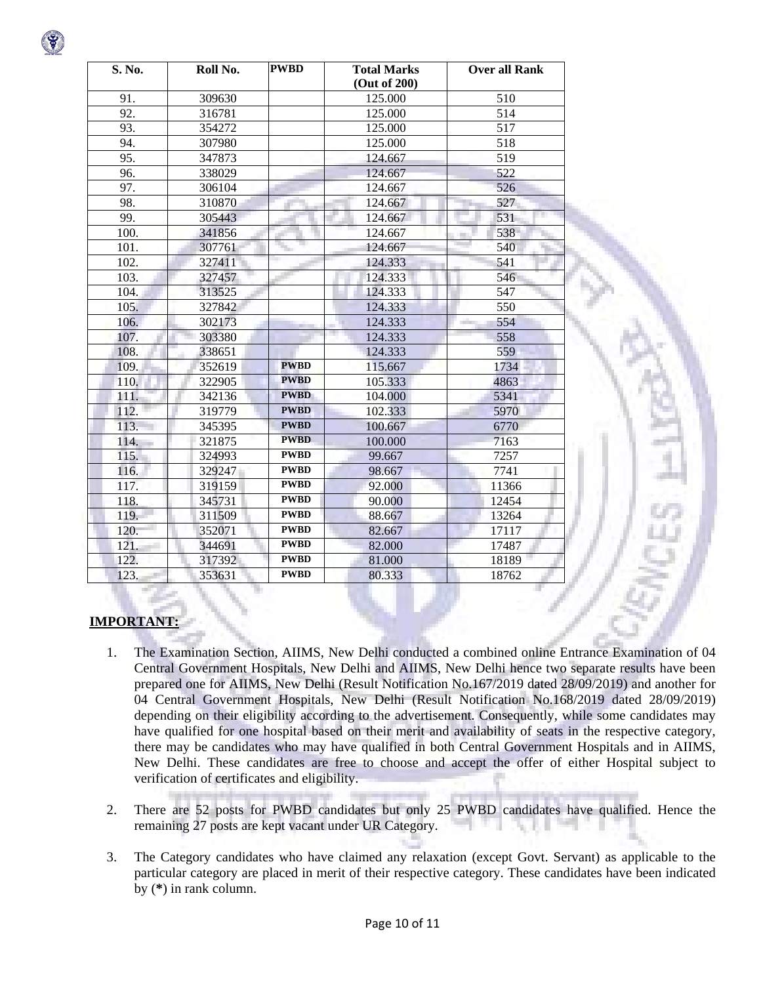| S. No. | Roll No. | <b>PWBD</b> | <b>Total Marks</b><br>(Out of 200) | Over all Rank |
|--------|----------|-------------|------------------------------------|---------------|
| 91.    | 309630   |             | 125.000                            | 510           |
| 92.    | 316781   |             | 125.000                            | 514           |
| 93.    | 354272   |             | 125.000                            | 517           |
| 94.    | 307980   |             | 125.000                            | 518           |
| 95.    | 347873   |             | 124.667                            | 519           |
| 96.    | 338029   |             | 124.667                            | 522           |
| 97.    | 306104   |             | 124.667                            | 526           |
| 98.    | 310870   |             | 124.667                            | 527           |
| 99.    | 305443   |             | 124.667                            | 531           |
| 100.   | 341856   |             | 124.667                            | 538           |
| 101.   | 307761   |             | 124.667                            | 540           |
| 102.   | 327411   |             | 124.333                            | 541           |
| 103.   | 327457   |             | 124.333                            | 546           |
| 104.   | 313525   |             | 124.333                            | 547           |
| 105.   | 327842   |             | 124.333                            | 550           |
| 106.   | 302173   |             | 124.333                            | 554<br>a ili  |
| 107.   | 303380   |             | 124.333                            | 558           |
| 108.   | 338651   |             | 124.333                            | 559           |
| 109.   | 352619   | <b>PWBD</b> | 115.667                            | 1734          |
| 110.   | 322905   | <b>PWBD</b> | 105.333                            | 4863          |
| 111.   | 342136   | <b>PWBD</b> | 104.000                            | 5341          |
| 112.   | 319779   | <b>PWBD</b> | 102.333                            | 5970          |
| 113.   | 345395   | <b>PWBD</b> | 100.667                            | 6770          |
| 114.   | 321875   | <b>PWBD</b> | 100.000                            | 7163          |
| 115.   | 324993   | <b>PWBD</b> | 99.667                             | 7257          |
| 116.   | 329247   | <b>PWBD</b> | 98.667                             | 7741          |
| 117.   | 319159   | <b>PWBD</b> | 92.000                             | 11366         |
| 118.   | 345731   | <b>PWBD</b> | 90.000                             | 12454         |
| 119.   | 311509   | <b>PWBD</b> | 88.667                             | 13264         |
| 120.   | 352071   | <b>PWBD</b> | 82.667                             | 17117         |
| 121.   | 344691   | <b>PWBD</b> | 82.000                             | 17487         |
| 122.   | 317392   | <b>PWBD</b> | 81.000                             | 18189         |
| 123.   | 353631   | <b>PWBD</b> | 80.333                             | 18762         |

## **IMPORTANT:**

- 1. The Examination Section, AIIMS, New Delhi conducted a combined online Entrance Examination of 04 Central Government Hospitals, New Delhi and AIIMS, New Delhi hence two separate results have been prepared one for AIIMS, New Delhi (Result Notification No.167/2019 dated 28/09/2019) and another for 04 Central Government Hospitals, New Delhi (Result Notification No.168/2019 dated 28/09/2019) depending on their eligibility according to the advertisement. Consequently, while some candidates may have qualified for one hospital based on their merit and availability of seats in the respective category, there may be candidates who may have qualified in both Central Government Hospitals and in AIIMS, New Delhi. These candidates are free to choose and accept the offer of either Hospital subject to verification of certificates and eligibility.
- 2. There are 52 posts for PWBD candidates but only 25 PWBD candidates have qualified. Hence the remaining 27 posts are kept vacant under UR Category.
- 3. The Category candidates who have claimed any relaxation (except Govt. Servant) as applicable to the particular category are placed in merit of their respective category. These candidates have been indicated by (**\***) in rank column.